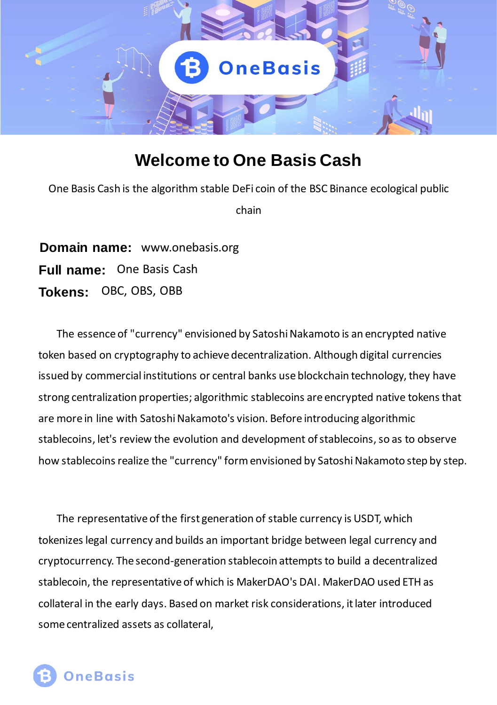

# **Welcome to One Basis Cash**

One Basis Cash is the algorithm stable DeFi coin of the BSC Binance ecological public chain

**Domain name:** www.onebasis.org **Full name:** One Basis Cash **Tokens:** OBC, OBS, OBB

The essence of "currency" envisioned by Satoshi Nakamoto is an encrypted native token based on cryptography to achieve decentralization. Although digital currencies issued by commercial institutions or central banks use blockchain technology, they have strong centralization properties; algorithmic stablecoins are encrypted native tokens that are more in line with Satoshi Nakamoto's vision. Before introducing algorithmic stablecoins, let's review the evolution and development of stablecoins, so as to observe how stablecoins realize the "currency" form envisioned by Satoshi Nakamoto step by step.

The representative of the first generation of stable currency is USDT, which tokenizes legal currency and builds an important bridge between legal currency and cryptocurrency. The second-generation stablecoin attempts to build a decentralized stablecoin, the representative of which is MakerDAO's DAI. MakerDAO used ETH as collateral in the early days. Based on market risk considerations, it later introduced some centralized assets as collateral,

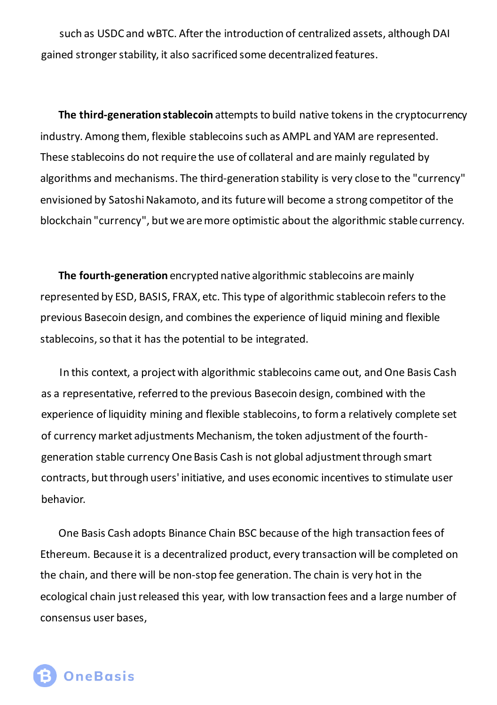such as USDC and wBTC. After the introduction of centralized assets, although DAI gained stronger stability, it also sacrificed some decentralized features.

**The third-generation stablecoin** attempts to build native tokens in the cryptocurrency industry. Among them, flexible stablecoins such as AMPL and YAM are represented. These stablecoins do not require the use of collateral and are mainly regulated by algorithms and mechanisms. The third-generation stability is very close to the "currency" envisioned by Satoshi Nakamoto, and its future will become a strong competitor of the blockchain "currency", but we are more optimistic about the algorithmic stable currency.

**The fourth-generation** encrypted native algorithmic stablecoins are mainly represented by ESD, BASIS, FRAX, etc. This type of algorithmic stablecoin refers to the previous Basecoin design, and combines the experience of liquid mining and flexible stablecoins, so that it has the potential to be integrated.

In this context, a project with algorithmic stablecoins came out, and One Basis Cash as a representative, referred to the previous Basecoin design, combined with the experience of liquidity mining and flexible stablecoins, to form a relatively complete set of currency market adjustments Mechanism, the token adjustment of the fourthgeneration stable currency One Basis Cash is not global adjustment through smart contracts, but through users' initiative, and uses economic incentives to stimulate user behavior.

One Basis Cash adopts Binance Chain BSC because of the high transaction fees of Ethereum. Because it is a decentralized product, every transaction will be completed on the chain, and there will be non-stop fee generation. The chain is very hot in the ecological chain just released this year, with low transaction fees and a large number of consensus user bases,

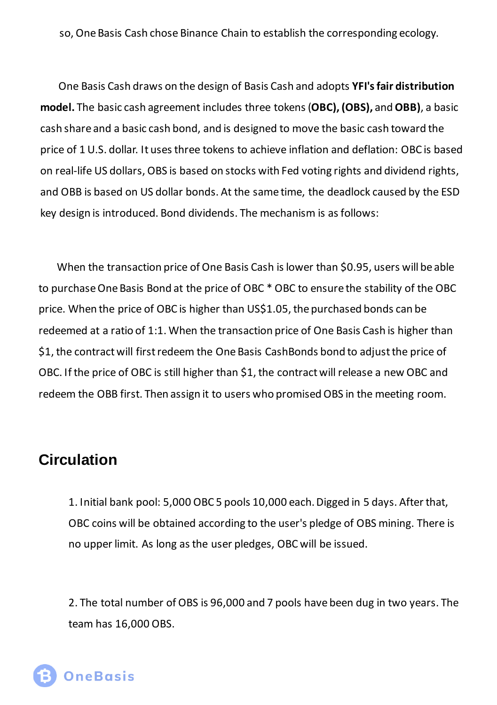so, One Basis Cash chose Binance Chain to establish the corresponding ecology.

One Basis Cash draws on the design of Basis Cash and adopts **YFI's fair distribution model.** The basic cash agreement includes three tokens (**OBC), (OBS),** and **OBB)**, a basic cash share and a basic cash bond, and is designed to move the basic cash toward the price of 1 U.S. dollar. It uses three tokens to achieve inflation and deflation: OBC is based on real-life US dollars, OBS is based on stocks with Fed voting rights and dividend rights, and OBB is based on US dollar bonds. At the same time, the deadlock caused by the ESD key design is introduced. Bond dividends. The mechanism is as follows:

When the transaction price of One Basis Cash is lower than \$0.95, users will be able to purchase One Basis Bond at the price of OBC \* OBC to ensure the stability of the OBC price. When the price of OBC is higher than US\$1.05, the purchased bonds can be redeemed at a ratio of 1:1. When the transaction price of One Basis Cash is higher than \$1, the contract will first redeem the One Basis CashBonds bond to adjust the price of OBC. If the price of OBC is still higher than \$1, the contract will release a new OBC and redeem the OBB first. Then assign it to users who promised OBS in the meeting room.

## **Circulation**

1. Initial bank pool: 5,000 OBC 5 pools 10,000 each. Digged in 5 days. After that, OBC coins will be obtained according to the user's pledge of OBS mining. There is no upper limit. As long as the user pledges, OBC will be issued.

2. The total number of OBS is 96,000 and 7 pools have been dug in two years. The team has 16,000 OBS.

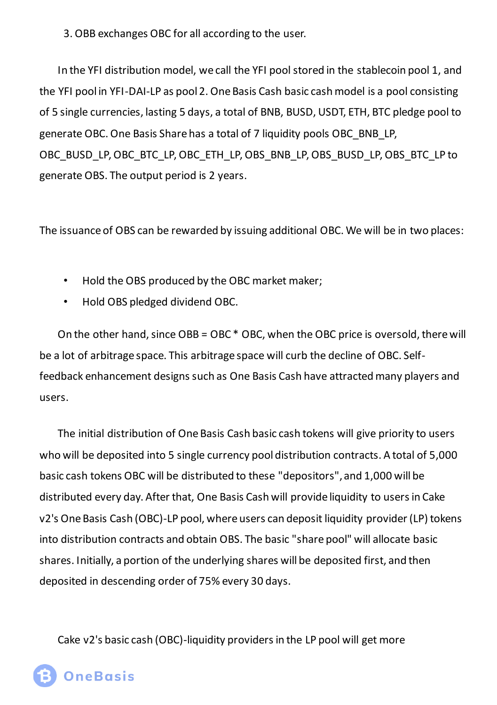3. OBB exchanges OBC for all according to the user.

In the YFI distribution model, we call the YFI pool stored in the stablecoin pool 1, and the YFI pool in YFI-DAI-LP as pool 2. One Basis Cash basic cash model is a pool consisting of 5 single currencies, lasting 5 days, a total of BNB, BUSD, USDT, ETH, BTC pledge pool to generate OBC. One Basis Share has a total of 7 liquidity pools OBC\_BNB\_LP, OBC\_BUSD\_LP, OBC\_BTC\_LP, OBC\_ETH\_LP, OBS\_BNB\_LP, OBS\_BUSD\_LP, OBS\_BTC\_LP to generate OBS. The output period is 2 years.

The issuance of OBS can be rewarded by issuing additional OBC. We will be in two places:

- Hold the OBS produced by the OBC market maker;
- Hold OBS pledged dividend OBC.

On the other hand, since OBB = OBC \* OBC, when the OBC price is oversold, there will be a lot of arbitrage space. This arbitrage space will curb the decline of OBC. Selffeedback enhancement designs such as One Basis Cash have attracted many players and users.

The initial distribution of One Basis Cash basic cash tokens will give priority to users who will be deposited into 5 single currency pool distribution contracts. A total of 5,000 basic cash tokens OBC will be distributed to these "depositors", and 1,000 will be distributed every day. After that, One Basis Cash will provide liquidity to users in Cake v2's One Basis Cash (OBC)-LP pool, where users can deposit liquidity provider (LP) tokens into distribution contracts and obtain OBS. The basic "share pool" will allocate basic shares. Initially, a portion of the underlying shares will be deposited first, and then deposited in descending order of 75% every 30 days.

Cake v2's basic cash (OBC)-liquidity providers in the LP pool will get more

**OneBasis**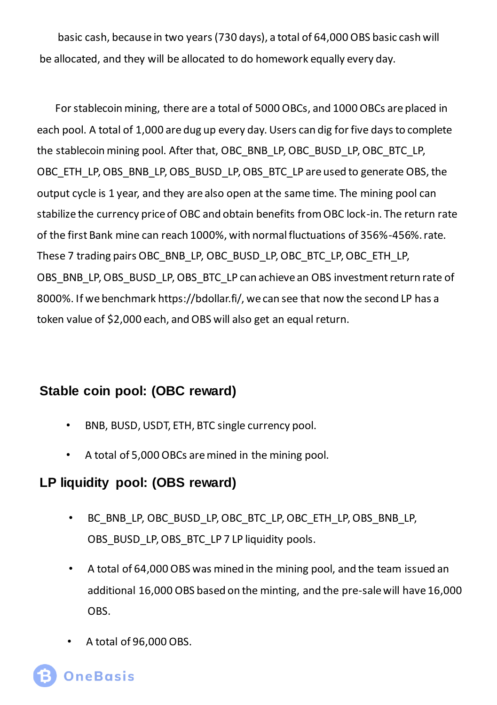basic cash, because in two years (730 days), a total of 64,000 OBS basic cash will be allocated, and they will be allocated to do homework equally every day.

For stablecoin mining, there are a total of 5000 OBCs, and 1000 OBCs are placed in each pool. A total of 1,000 are dug up every day. Users can dig for five days to complete the stablecoin mining pool. After that, OBC\_BNB\_LP, OBC\_BUSD\_LP, OBC\_BTC\_LP, OBC\_ETH\_LP, OBS\_BNB\_LP, OBS\_BUSD\_LP, OBS\_BTC\_LP are used to generate OBS, the output cycle is 1 year, and they are also open at the same time. The mining pool can stabilize the currency price of OBC and obtain benefits from OBC lock-in. The return rate of the first Bank mine can reach 1000%, with normal fluctuations of 356%-456%. rate. These 7 trading pairs OBC\_BNB\_LP, OBC\_BUSD\_LP, OBC\_BTC\_LP, OBC\_ETH\_LP, OBS\_BNB\_LP, OBS\_BUSD\_LP, OBS\_BTC\_LP can achieve an OBS investment return rate of 8000%. If we benchmark https://bdollar.fi/, we can see that now the second LP has a token value of \$2,000 each, and OBS will also get an equal return.

#### **Stable coin pool: (OBC reward)**

- BNB, BUSD, USDT, ETH, BTC single currency pool.
- A total of 5,000 OBCs are mined in the mining pool.

## **LP liquidity pool: (OBS reward)**

- BC\_BNB\_LP, OBC\_BUSD\_LP, OBC\_BTC\_LP, OBC\_ETH\_LP, OBS\_BNB\_LP, OBS\_BUSD\_LP, OBS\_BTC\_LP 7 LP liquidity pools.
- A total of 64,000 OBS was mined in the mining pool, and the team issued an additional 16,000 OBS based on the minting, and the pre-sale will have 16,000 OBS.
- A total of 96,000 OBS.

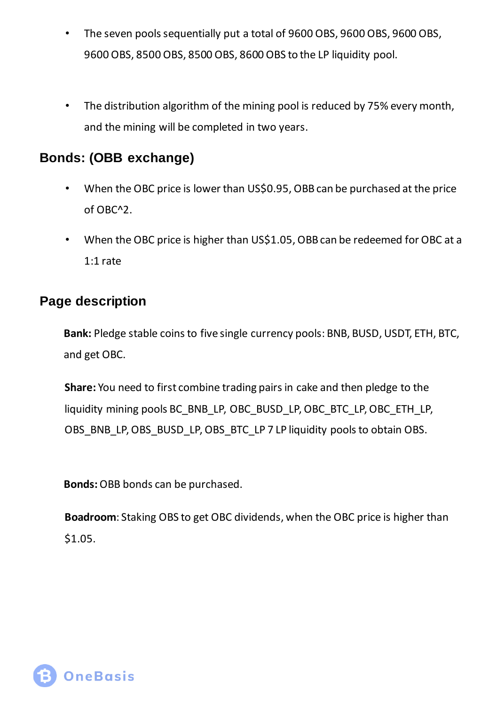- The seven pools sequentially put a total of 9600 OBS, 9600 OBS, 9600 OBS, 9600 OBS, 8500 OBS, 8500 OBS, 8600 OBS to the LP liquidity pool.
- The distribution algorithm of the mining pool is reduced by 75% every month, and the mining will be completed in two years.

#### **Bonds: (OBB exchange)**

- When the OBC price is lower than US\$0.95, OBB can be purchased at the price of OBC^2.
- When the OBC price is higher than US\$1.05, OBB can be redeemed for OBC at a 1:1 rate

#### **Page description**

**Bank:** Pledge stable coins to five single currency pools: BNB, BUSD, USDT, ETH, BTC, and get OBC.

**Share:** You need to first combine trading pairs in cake and then pledge to the liquidity mining pools BC\_BNB\_LP, OBC\_BUSD\_LP, OBC\_BTC\_LP, OBC\_ETH\_LP, OBS\_BNB\_LP, OBS\_BUSD\_LP, OBS\_BTC\_LP 7 LP liquidity pools to obtain OBS.

**Bonds:** OBB bonds can be purchased.

**Boadroom**: Staking OBS to get OBC dividends, when the OBC price is higher than \$1.05.

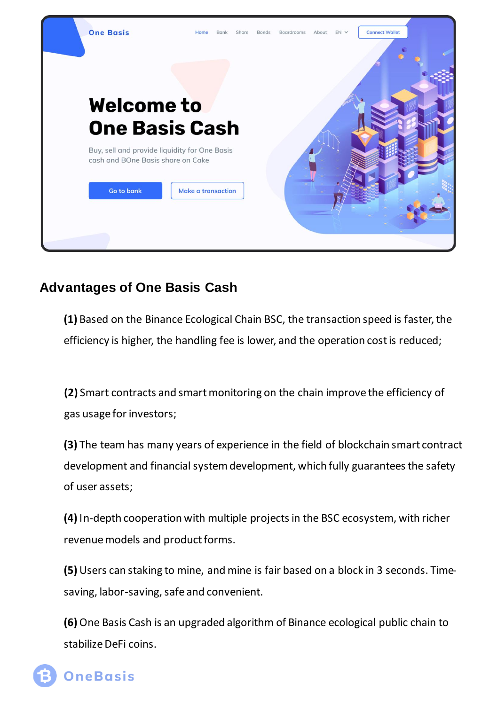

## **Advantages of One Basis Cash**

**(1)** Based on the Binance Ecological Chain BSC, the transaction speed is faster, the efficiency is higher, the handling fee is lower, and the operation cost is reduced;

**(2)** Smart contracts and smart monitoring on the chain improve the efficiency of gas usage for investors;

**(3)** The team has many years of experience in the field of blockchain smart contract development and financial system development, which fully guarantees the safety of user assets;

**(4)** In-depth cooperation with multiple projects in the BSC ecosystem, with richer revenue models and product forms.

**(5)** Users can staking to mine, and mine is fair based on a block in 3 seconds. Timesaving, labor-saving, safe and convenient.

**(6)** One Basis Cash is an upgraded algorithm of Binance ecological public chain to stabilize DeFi coins.